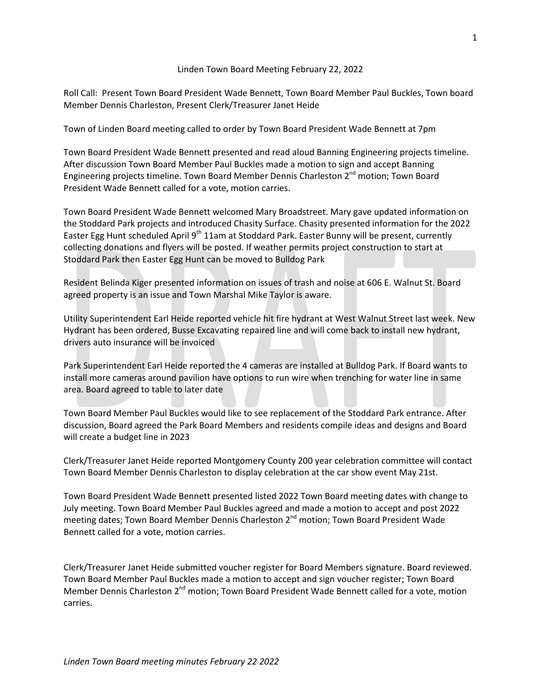## Linden Town Board Meeting February 22, 2022

Roll Call: Present Town Board President Wade Bennett, Town Board Member Paul Buckles, Town board Member Dennis Charleston, Present Clerk/Treasurer Janet Heide

Town of Linden Board meeting called to order by Town Board President Wade Bennett at 7pm

Town Board President Wade Bennett presented and read aloud Banning Engineering projects timeline. After discussion Town Board Member Paul Buckles made a motion to sign and accept Banning Engineering projects timeline. Town Board Member Dennis Charleston 2<sup>nd</sup> motion; Town Board President Wade Bennett called for a vote, motion carries.

Town Board President Wade Bennett welcomed Mary Broadstreet. Mary gave updated information on the Stoddard Park projects and introduced Chasity Surface. Chasity presented information for the 2022 Easter Egg Hunt scheduled April 9<sup>th</sup> 11am at Stoddard Park. Easter Bunny will be present, currently collecting donations and flyers will be posted. If weather permits project construction to start at Stoddard Park then Easter Egg Hunt can be moved to Bulldog Park

Resident Belinda Kiger presented information on issues of trash and noise at 606 E. Walnut St. Board agreed property is an issue and Town Marshal Mike Taylor is aware.

Utility Superintendent Earl Heide reported vehicle hit fire hydrant at West Walnut Street last week. New Hydrant has been ordered, Busse Excavating repaired line and will come back to install new hydrant, drivers auto insurance will be invoiced

Park Superintendent Earl Heide reported the 4 cameras are installed at Bulldog Park. If Board wants to install more cameras around pavilion have options to run wire when trenching for water line in same area. Board agreed to table to later date

Town Board Member Paul Buckles would like to see replacement of the Stoddard Park entrance. After discussion, Board agreed the Park Board Members and residents compile ideas and designs and Board will create a budget line in 2023

Clerk/Treasurer Janet Heide reported Montgomery County 200 year celebration committee will contact Town Board Member Dennis Charleston to display celebration at the car show event May 21st.

Town Board President Wade Bennett presented listed 2022 Town Board meeting dates with change to July meeting. Town Board Member Paul Buckles agreed and made a motion to accept and post 2022 meeting dates; Town Board Member Dennis Charleston 2<sup>nd</sup> motion; Town Board President Wade Bennett called for a vote, motion carries.

Clerk/Treasurer Janet Heide submitted voucher register for Board Members signature. Board reviewed. Town Board Member Paul Buckles made a motion to accept and sign voucher register; Town Board Member Dennis Charleston 2<sup>nd</sup> motion; Town Board President Wade Bennett called for a vote, motion carries.